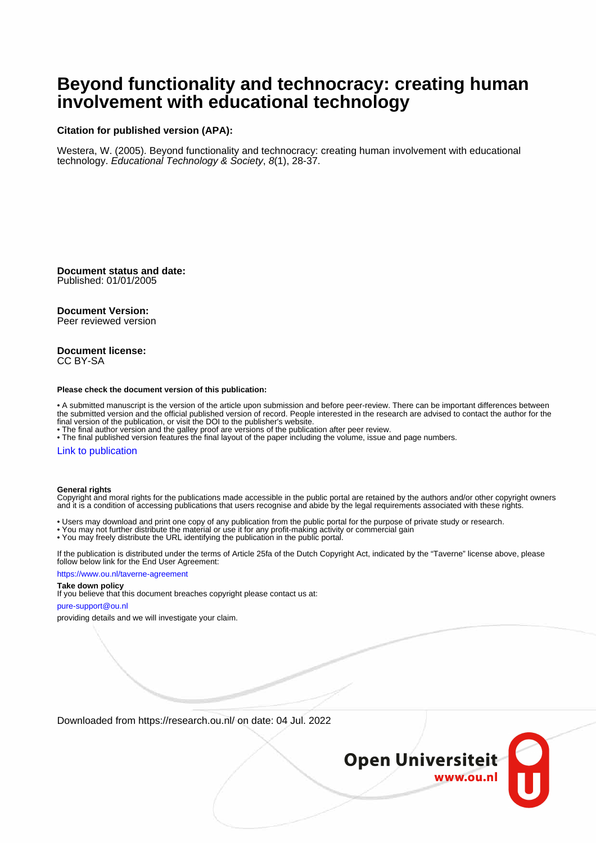# **Beyond functionality and technocracy: creating human involvement with educational technology**

#### **Citation for published version (APA):**

Westera, W. (2005). Beyond functionality and technocracy: creating human involvement with educational technology. Educational Technology & Society, 8(1), 28-37.

**Document status and date:** Published: 01/01/2005

#### **Document Version:**

Peer reviewed version

#### **Document license:** CC BY-SA

#### **Please check the document version of this publication:**

• A submitted manuscript is the version of the article upon submission and before peer-review. There can be important differences between the submitted version and the official published version of record. People interested in the research are advised to contact the author for the final version of the publication, or visit the DOI to the publisher's website.

• The final author version and the galley proof are versions of the publication after peer review.

• The final published version features the final layout of the paper including the volume, issue and page numbers.

#### [Link to publication](https://research.ou.nl/en/publications/561724d5-b16a-43f8-82f1-0bfc0e794649)

#### **General rights**

Copyright and moral rights for the publications made accessible in the public portal are retained by the authors and/or other copyright owners and it is a condition of accessing publications that users recognise and abide by the legal requirements associated with these rights.

- Users may download and print one copy of any publication from the public portal for the purpose of private study or research.
- You may not further distribute the material or use it for any profit-making activity or commercial gain
- You may freely distribute the URL identifying the publication in the public portal.

If the publication is distributed under the terms of Article 25fa of the Dutch Copyright Act, indicated by the "Taverne" license above, please follow below link for the End User Agreement:

#### https://www.ou.nl/taverne-agreement

#### **Take down policy**

If you believe that this document breaches copyright please contact us at:

#### pure-support@ou.nl

providing details and we will investigate your claim.

Downloaded from https://research.ou.nl/ on date: 04 Jul. 2022

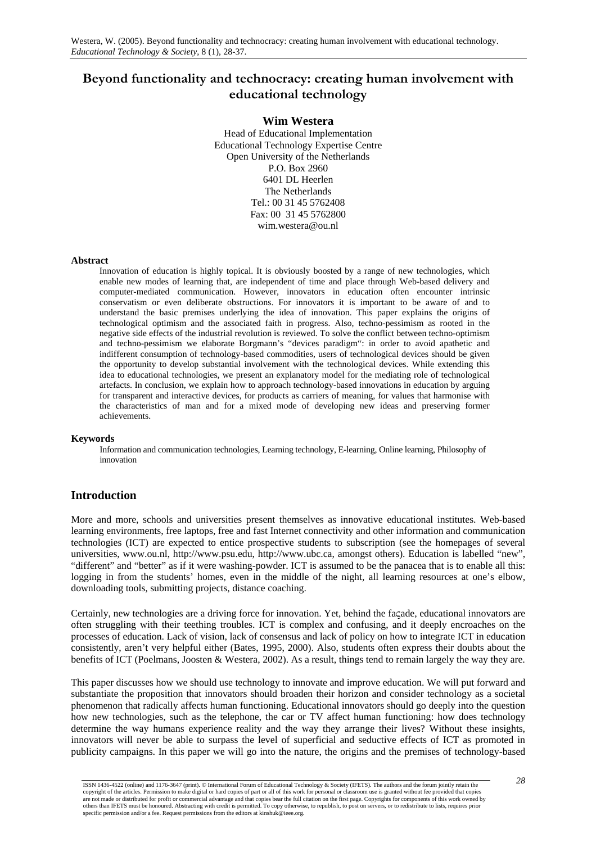# **Beyond functionality and technocracy: creating human involvement with educational technology**

#### **Wim Westera**

Head of Educational Implementation Educational Technology Expertise Centre Open University of the Netherlands P.O. Box 2960 6401 DL Heerlen The Netherlands Tel.: 00 31 45 5762408 Fax: 00 31 45 5762800 wim.westera@ou.nl

#### **Abstract**

Innovation of education is highly topical. It is obviously boosted by a range of new technologies, which enable new modes of learning that, are independent of time and place through Web-based delivery and computer-mediated communication. However, innovators in education often encounter intrinsic conservatism or even deliberate obstructions. For innovators it is important to be aware of and to understand the basic premises underlying the idea of innovation. This paper explains the origins of technological optimism and the associated faith in progress. Also, techno-pessimism as rooted in the negative side effects of the industrial revolution is reviewed. To solve the conflict between techno-optimism and techno-pessimism we elaborate Borgmann's "devices paradigm": in order to avoid apathetic and indifferent consumption of technology-based commodities, users of technological devices should be given the opportunity to develop substantial involvement with the technological devices. While extending this idea to educational technologies, we present an explanatory model for the mediating role of technological artefacts. In conclusion, we explain how to approach technology-based innovations in education by arguing for transparent and interactive devices, for products as carriers of meaning, for values that harmonise with the characteristics of man and for a mixed mode of developing new ideas and preserving former achievements.

#### **Keywords**

Information and communication technologies, Learning technology, E-learning, Online learning, Philosophy of innovation

# **Introduction**

More and more, schools and universities present themselves as innovative educational institutes. Web-based learning environments, free laptops, free and fast Internet connectivity and other information and communication technologies (ICT) are expected to entice prospective students to subscription (see the homepages of several universities, www.ou.nl, http://www.psu.edu, http://www.ubc.ca, amongst others). Education is labelled "new", "different" and "better" as if it were washing-powder. ICT is assumed to be the panacea that is to enable all this: logging in from the students' homes, even in the middle of the night, all learning resources at one's elbow, downloading tools, submitting projects, distance coaching.

Certainly, new technologies are a driving force for innovation. Yet, behind the faςade, educational innovators are often struggling with their teething troubles. ICT is complex and confusing, and it deeply encroaches on the processes of education. Lack of vision, lack of consensus and lack of policy on how to integrate ICT in education consistently, aren't very helpful either (Bates, 1995, 2000). Also, students often express their doubts about the benefits of ICT (Poelmans, Joosten & Westera, 2002). As a result, things tend to remain largely the way they are.

This paper discusses how we should use technology to innovate and improve education. We will put forward and substantiate the proposition that innovators should broaden their horizon and consider technology as a societal phenomenon that radically affects human functioning. Educational innovators should go deeply into the question how new technologies, such as the telephone, the car or TV affect human functioning: how does technology determine the way humans experience reality and the way they arrange their lives? Without these insights, innovators will never be able to surpass the level of superficial and seductive effects of ICT as promoted in publicity campaigns. In this paper we will go into the nature, the origins and the premises of technology-based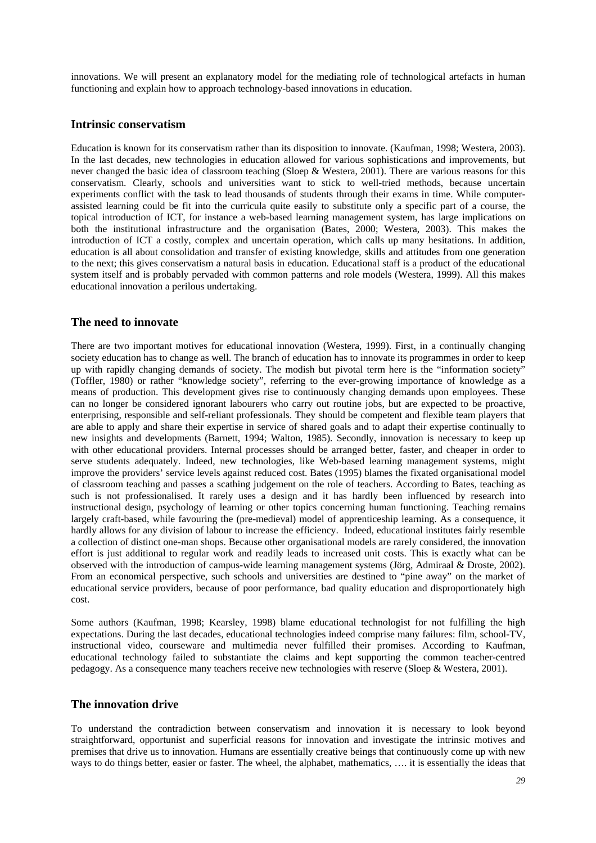innovations. We will present an explanatory model for the mediating role of technological artefacts in human functioning and explain how to approach technology-based innovations in education.

#### **Intrinsic conservatism**

Education is known for its conservatism rather than its disposition to innovate. (Kaufman, 1998; Westera, 2003). In the last decades, new technologies in education allowed for various sophistications and improvements, but never changed the basic idea of classroom teaching (Sloep & Westera, 2001). There are various reasons for this conservatism. Clearly, schools and universities want to stick to well-tried methods, because uncertain experiments conflict with the task to lead thousands of students through their exams in time. While computerassisted learning could be fit into the curricula quite easily to substitute only a specific part of a course, the topical introduction of ICT, for instance a web-based learning management system, has large implications on both the institutional infrastructure and the organisation (Bates, 2000; Westera, 2003). This makes the introduction of ICT a costly, complex and uncertain operation, which calls up many hesitations. In addition, education is all about consolidation and transfer of existing knowledge, skills and attitudes from one generation to the next; this gives conservatism a natural basis in education. Educational staff is a product of the educational system itself and is probably pervaded with common patterns and role models (Westera, 1999). All this makes educational innovation a perilous undertaking.

#### **The need to innovate**

There are two important motives for educational innovation (Westera, 1999). First, in a continually changing society education has to change as well. The branch of education has to innovate its programmes in order to keep up with rapidly changing demands of society. The modish but pivotal term here is the "information society" (Toffler, 1980) or rather "knowledge society", referring to the ever-growing importance of knowledge as a means of production. This development gives rise to continuously changing demands upon employees. These can no longer be considered ignorant labourers who carry out routine jobs, but are expected to be proactive, enterprising, responsible and self-reliant professionals. They should be competent and flexible team players that are able to apply and share their expertise in service of shared goals and to adapt their expertise continually to new insights and developments (Barnett, 1994; Walton, 1985). Secondly, innovation is necessary to keep up with other educational providers. Internal processes should be arranged better, faster, and cheaper in order to serve students adequately. Indeed, new technologies, like Web-based learning management systems, might improve the providers' service levels against reduced cost. Bates (1995) blames the fixated organisational model of classroom teaching and passes a scathing judgement on the role of teachers. According to Bates, teaching as such is not professionalised. It rarely uses a design and it has hardly been influenced by research into instructional design, psychology of learning or other topics concerning human functioning. Teaching remains largely craft-based, while favouring the (pre-medieval) model of apprenticeship learning. As a consequence, it hardly allows for any division of labour to increase the efficiency. Indeed, educational institutes fairly resemble a collection of distinct one-man shops. Because other organisational models are rarely considered, the innovation effort is just additional to regular work and readily leads to increased unit costs. This is exactly what can be observed with the introduction of campus-wide learning management systems (Jörg, Admiraal & Droste, 2002). From an economical perspective, such schools and universities are destined to "pine away" on the market of educational service providers, because of poor performance, bad quality education and disproportionately high cost.

Some authors (Kaufman, 1998; Kearsley, 1998) blame educational technologist for not fulfilling the high expectations. During the last decades, educational technologies indeed comprise many failures: film, school-TV, instructional video, courseware and multimedia never fulfilled their promises. According to Kaufman, educational technology failed to substantiate the claims and kept supporting the common teacher-centred pedagogy. As a consequence many teachers receive new technologies with reserve (Sloep & Westera, 2001).

### **The innovation drive**

To understand the contradiction between conservatism and innovation it is necessary to look beyond straightforward, opportunist and superficial reasons for innovation and investigate the intrinsic motives and premises that drive us to innovation. Humans are essentially creative beings that continuously come up with new ways to do things better, easier or faster. The wheel, the alphabet, mathematics, …. it is essentially the ideas that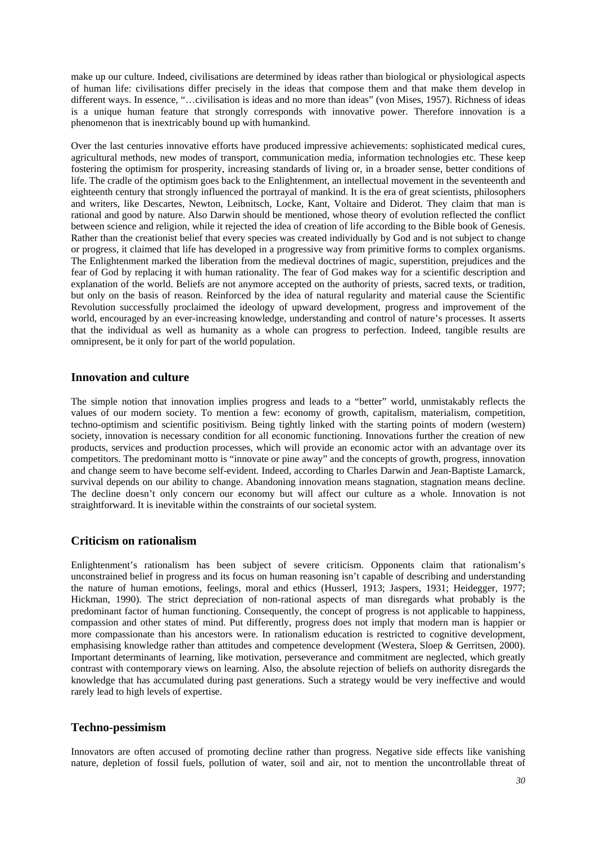make up our culture. Indeed, civilisations are determined by ideas rather than biological or physiological aspects of human life: civilisations differ precisely in the ideas that compose them and that make them develop in different ways. In essence, "... civilisation is ideas and no more than ideas" (von Mises, 1957). Richness of ideas is a unique human feature that strongly corresponds with innovative power. Therefore innovation is a phenomenon that is inextricably bound up with humankind.

Over the last centuries innovative efforts have produced impressive achievements: sophisticated medical cures, agricultural methods, new modes of transport, communication media, information technologies etc. These keep fostering the optimism for prosperity, increasing standards of living or, in a broader sense, better conditions of life. The cradle of the optimism goes back to the Enlightenment, an intellectual movement in the seventeenth and eighteenth century that strongly influenced the portrayal of mankind. It is the era of great scientists, philosophers and writers, like Descartes, Newton, Leibnitsch, Locke, Kant, Voltaire and Diderot. They claim that man is rational and good by nature. Also Darwin should be mentioned, whose theory of evolution reflected the conflict between science and religion, while it rejected the idea of creation of life according to the Bible book of Genesis. Rather than the creationist belief that every species was created individually by God and is not subject to change or progress, it claimed that life has developed in a progressive way from primitive forms to complex organisms. The Enlightenment marked the liberation from the medieval doctrines of magic, superstition, prejudices and the fear of God by replacing it with human rationality. The fear of God makes way for a scientific description and explanation of the world. Beliefs are not anymore accepted on the authority of priests, sacred texts, or tradition, but only on the basis of reason. Reinforced by the idea of natural regularity and material cause the Scientific Revolution successfully proclaimed the ideology of upward development, progress and improvement of the world, encouraged by an ever-increasing knowledge, understanding and control of nature's processes. It asserts that the individual as well as humanity as a whole can progress to perfection. Indeed, tangible results are omnipresent, be it only for part of the world population.

#### **Innovation and culture**

The simple notion that innovation implies progress and leads to a "better" world, unmistakably reflects the values of our modern society. To mention a few: economy of growth, capitalism, materialism, competition, techno-optimism and scientific positivism. Being tightly linked with the starting points of modern (western) society, innovation is necessary condition for all economic functioning. Innovations further the creation of new products, services and production processes, which will provide an economic actor with an advantage over its competitors. The predominant motto is "innovate or pine away" and the concepts of growth, progress, innovation and change seem to have become self-evident. Indeed, according to Charles Darwin and Jean-Baptiste Lamarck, survival depends on our ability to change. Abandoning innovation means stagnation, stagnation means decline. The decline doesn't only concern our economy but will affect our culture as a whole. Innovation is not straightforward. It is inevitable within the constraints of our societal system.

### **Criticism on rationalism**

Enlightenment's rationalism has been subject of severe criticism. Opponents claim that rationalism's unconstrained belief in progress and its focus on human reasoning isn't capable of describing and understanding the nature of human emotions, feelings, moral and ethics (Husserl, 1913; Jaspers, 1931; Heidegger, 1977; Hickman, 1990). The strict depreciation of non-rational aspects of man disregards what probably is the predominant factor of human functioning. Consequently, the concept of progress is not applicable to happiness, compassion and other states of mind. Put differently, progress does not imply that modern man is happier or more compassionate than his ancestors were. In rationalism education is restricted to cognitive development, emphasising knowledge rather than attitudes and competence development (Westera, Sloep & Gerritsen, 2000). Important determinants of learning, like motivation, perseverance and commitment are neglected, which greatly contrast with contemporary views on learning. Also, the absolute rejection of beliefs on authority disregards the knowledge that has accumulated during past generations. Such a strategy would be very ineffective and would rarely lead to high levels of expertise.

#### **Techno-pessimism**

Innovators are often accused of promoting decline rather than progress. Negative side effects like vanishing nature, depletion of fossil fuels, pollution of water, soil and air, not to mention the uncontrollable threat of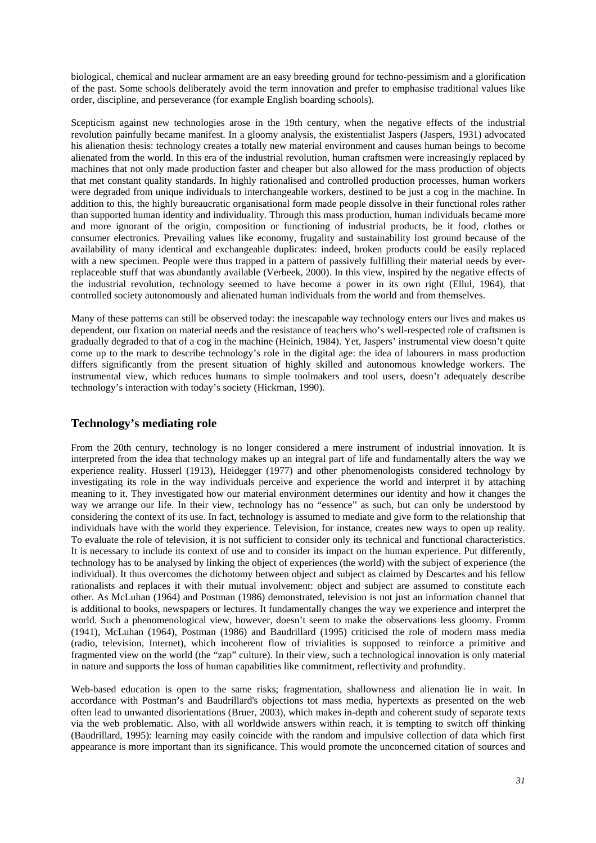biological, chemical and nuclear armament are an easy breeding ground for techno-pessimism and a glorification of the past. Some schools deliberately avoid the term innovation and prefer to emphasise traditional values like order, discipline, and perseverance (for example English boarding schools).

Scepticism against new technologies arose in the 19th century, when the negative effects of the industrial revolution painfully became manifest. In a gloomy analysis, the existentialist Jaspers (Jaspers, 1931) advocated his alienation thesis: technology creates a totally new material environment and causes human beings to become alienated from the world. In this era of the industrial revolution, human craftsmen were increasingly replaced by machines that not only made production faster and cheaper but also allowed for the mass production of objects that met constant quality standards. In highly rationalised and controlled production processes, human workers were degraded from unique individuals to interchangeable workers, destined to be just a cog in the machine. In addition to this, the highly bureaucratic organisational form made people dissolve in their functional roles rather than supported human identity and individuality. Through this mass production, human individuals became more and more ignorant of the origin, composition or functioning of industrial products, be it food, clothes or consumer electronics. Prevailing values like economy, frugality and sustainability lost ground because of the availability of many identical and exchangeable duplicates: indeed, broken products could be easily replaced with a new specimen. People were thus trapped in a pattern of passively fulfilling their material needs by everreplaceable stuff that was abundantly available (Verbeek, 2000). In this view, inspired by the negative effects of the industrial revolution, technology seemed to have become a power in its own right (Ellul, 1964), that controlled society autonomously and alienated human individuals from the world and from themselves.

Many of these patterns can still be observed today: the inescapable way technology enters our lives and makes us dependent, our fixation on material needs and the resistance of teachers who's well-respected role of craftsmen is gradually degraded to that of a cog in the machine (Heinich, 1984). Yet, Jaspers' instrumental view doesn't quite come up to the mark to describe technology's role in the digital age: the idea of labourers in mass production differs significantly from the present situation of highly skilled and autonomous knowledge workers. The instrumental view, which reduces humans to simple toolmakers and tool users, doesn't adequately describe technology's interaction with today's society (Hickman, 1990).

# **Technology's mediating role**

From the 20th century, technology is no longer considered a mere instrument of industrial innovation. It is interpreted from the idea that technology makes up an integral part of life and fundamentally alters the way we experience reality. Husserl (1913), Heidegger (1977) and other phenomenologists considered technology by investigating its role in the way individuals perceive and experience the world and interpret it by attaching meaning to it. They investigated how our material environment determines our identity and how it changes the way we arrange our life. In their view, technology has no "essence" as such, but can only be understood by considering the context of its use. In fact, technology is assumed to mediate and give form to the relationship that individuals have with the world they experience. Television, for instance, creates new ways to open up reality. To evaluate the role of television, it is not sufficient to consider only its technical and functional characteristics. It is necessary to include its context of use and to consider its impact on the human experience. Put differently, technology has to be analysed by linking the object of experiences (the world) with the subject of experience (the individual). It thus overcomes the dichotomy between object and subject as claimed by Descartes and his fellow rationalists and replaces it with their mutual involvement: object and subject are assumed to constitute each other. As McLuhan (1964) and Postman (1986) demonstrated, television is not just an information channel that is additional to books, newspapers or lectures. It fundamentally changes the way we experience and interpret the world. Such a phenomenological view, however, doesn't seem to make the observations less gloomy. Fromm (1941), McLuhan (1964), Postman (1986) and Baudrillard (1995) criticised the role of modern mass media (radio, television, Internet), which incoherent flow of trivialities is supposed to reinforce a primitive and fragmented view on the world (the "zap" culture). In their view, such a technological innovation is only material in nature and supports the loss of human capabilities like commitment, reflectivity and profundity.

Web-based education is open to the same risks; fragmentation, shallowness and alienation lie in wait. In accordance with Postman's and Baudrillard's objections tot mass media, hypertexts as presented on the web often lead to unwanted disorientations (Bruer, 2003), which makes in-depth and coherent study of separate texts via the web problematic. Also, with all worldwide answers within reach, it is tempting to switch off thinking (Baudrillard, 1995): learning may easily coincide with the random and impulsive collection of data which first appearance is more important than its significance. This would promote the unconcerned citation of sources and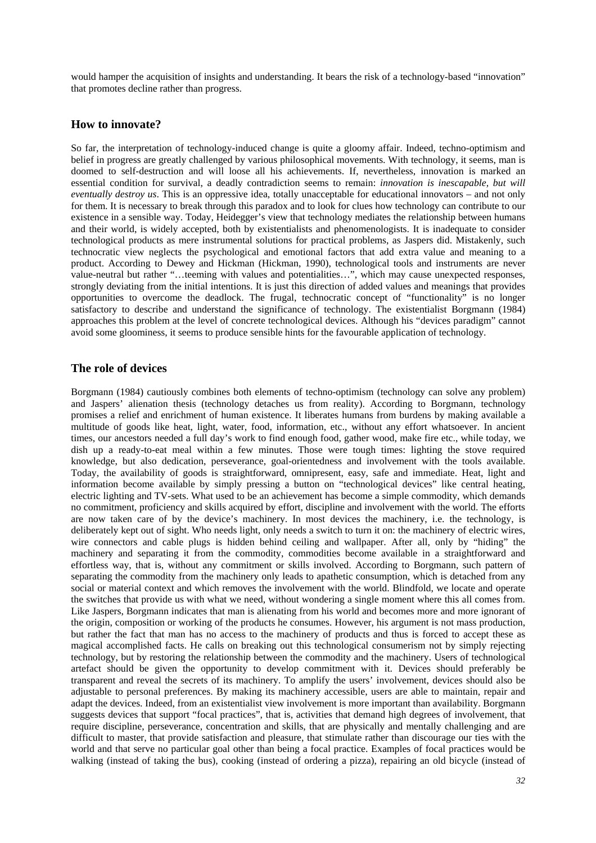would hamper the acquisition of insights and understanding. It bears the risk of a technology-based "innovation" that promotes decline rather than progress.

#### **How to innovate?**

So far, the interpretation of technology-induced change is quite a gloomy affair. Indeed, techno-optimism and belief in progress are greatly challenged by various philosophical movements. With technology, it seems, man is doomed to self-destruction and will loose all his achievements. If, nevertheless, innovation is marked an essential condition for survival, a deadly contradiction seems to remain: *innovation is inescapable, but will eventually destroy us*. This is an oppressive idea, totally unacceptable for educational innovators – and not only for them. It is necessary to break through this paradox and to look for clues how technology can contribute to our existence in a sensible way. Today, Heidegger's view that technology mediates the relationship between humans and their world, is widely accepted, both by existentialists and phenomenologists. It is inadequate to consider technological products as mere instrumental solutions for practical problems, as Jaspers did. Mistakenly, such technocratic view neglects the psychological and emotional factors that add extra value and meaning to a product. According to Dewey and Hickman (Hickman, 1990), technological tools and instruments are never value-neutral but rather "…teeming with values and potentialities…", which may cause unexpected responses, strongly deviating from the initial intentions. It is just this direction of added values and meanings that provides opportunities to overcome the deadlock. The frugal, technocratic concept of "functionality" is no longer satisfactory to describe and understand the significance of technology. The existentialist Borgmann (1984) approaches this problem at the level of concrete technological devices. Although his "devices paradigm" cannot avoid some gloominess, it seems to produce sensible hints for the favourable application of technology.

#### **The role of devices**

Borgmann (1984) cautiously combines both elements of techno-optimism (technology can solve any problem) and Jaspers' alienation thesis (technology detaches us from reality). According to Borgmann, technology promises a relief and enrichment of human existence. It liberates humans from burdens by making available a multitude of goods like heat, light, water, food, information, etc., without any effort whatsoever. In ancient times, our ancestors needed a full day's work to find enough food, gather wood, make fire etc., while today, we dish up a ready-to-eat meal within a few minutes. Those were tough times: lighting the stove required knowledge, but also dedication, perseverance, goal-orientedness and involvement with the tools available. Today, the availability of goods is straightforward, omnipresent, easy, safe and immediate. Heat, light and information become available by simply pressing a button on "technological devices" like central heating, electric lighting and TV-sets. What used to be an achievement has become a simple commodity, which demands no commitment, proficiency and skills acquired by effort, discipline and involvement with the world. The efforts are now taken care of by the device's machinery. In most devices the machinery, i.e. the technology, is deliberately kept out of sight. Who needs light, only needs a switch to turn it on: the machinery of electric wires, wire connectors and cable plugs is hidden behind ceiling and wallpaper. After all, only by "hiding" the machinery and separating it from the commodity, commodities become available in a straightforward and effortless way, that is, without any commitment or skills involved. According to Borgmann, such pattern of separating the commodity from the machinery only leads to apathetic consumption, which is detached from any social or material context and which removes the involvement with the world. Blindfold, we locate and operate the switches that provide us with what we need, without wondering a single moment where this all comes from. Like Jaspers, Borgmann indicates that man is alienating from his world and becomes more and more ignorant of the origin, composition or working of the products he consumes. However, his argument is not mass production, but rather the fact that man has no access to the machinery of products and thus is forced to accept these as magical accomplished facts. He calls on breaking out this technological consumerism not by simply rejecting technology, but by restoring the relationship between the commodity and the machinery. Users of technological artefact should be given the opportunity to develop commitment with it. Devices should preferably be transparent and reveal the secrets of its machinery. To amplify the users' involvement, devices should also be adjustable to personal preferences. By making its machinery accessible, users are able to maintain, repair and adapt the devices. Indeed, from an existentialist view involvement is more important than availability. Borgmann suggests devices that support "focal practices", that is, activities that demand high degrees of involvement, that require discipline, perseverance, concentration and skills, that are physically and mentally challenging and are difficult to master, that provide satisfaction and pleasure, that stimulate rather than discourage our ties with the world and that serve no particular goal other than being a focal practice. Examples of focal practices would be walking (instead of taking the bus), cooking (instead of ordering a pizza), repairing an old bicycle (instead of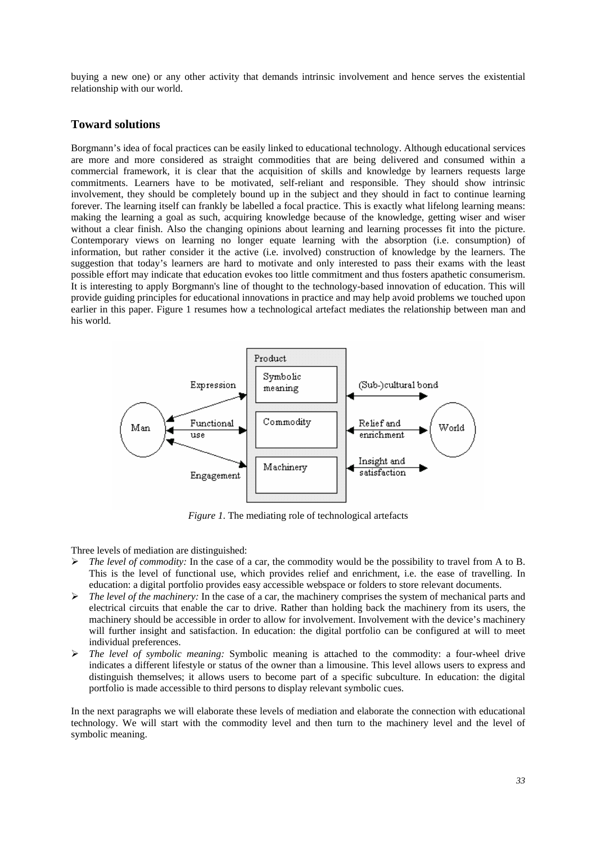buying a new one) or any other activity that demands intrinsic involvement and hence serves the existential relationship with our world.

#### **Toward solutions**

Borgmann's idea of focal practices can be easily linked to educational technology. Although educational services are more and more considered as straight commodities that are being delivered and consumed within a commercial framework, it is clear that the acquisition of skills and knowledge by learners requests large commitments. Learners have to be motivated, self-reliant and responsible. They should show intrinsic involvement, they should be completely bound up in the subject and they should in fact to continue learning forever. The learning itself can frankly be labelled a focal practice. This is exactly what lifelong learning means: making the learning a goal as such, acquiring knowledge because of the knowledge, getting wiser and wiser without a clear finish. Also the changing opinions about learning and learning processes fit into the picture. Contemporary views on learning no longer equate learning with the absorption (i.e. consumption) of information, but rather consider it the active (i.e. involved) construction of knowledge by the learners. The suggestion that today's learners are hard to motivate and only interested to pass their exams with the least possible effort may indicate that education evokes too little commitment and thus fosters apathetic consumerism. It is interesting to apply Borgmann's line of thought to the technology-based innovation of education. This will provide guiding principles for educational innovations in practice and may help avoid problems we touched upon earlier in this paper. Figure 1 resumes how a technological artefact mediates the relationship between man and his world.



*Figure 1*. The mediating role of technological artefacts

Three levels of mediation are distinguished:

- $\triangleright$  *The level of commodity:* In the case of a car, the commodity would be the possibility to travel from A to B. This is the level of functional use, which provides relief and enrichment, i.e. the ease of travelling. In education: a digital portfolio provides easy accessible webspace or folders to store relevant documents.
- ¾ *The level of the machinery:* In the case of a car, the machinery comprises the system of mechanical parts and electrical circuits that enable the car to drive. Rather than holding back the machinery from its users, the machinery should be accessible in order to allow for involvement. Involvement with the device's machinery will further insight and satisfaction. In education: the digital portfolio can be configured at will to meet individual preferences.
- ¾ *The level of symbolic meaning:* Symbolic meaning is attached to the commodity: a four-wheel drive indicates a different lifestyle or status of the owner than a limousine. This level allows users to express and distinguish themselves; it allows users to become part of a specific subculture. In education: the digital portfolio is made accessible to third persons to display relevant symbolic cues.

In the next paragraphs we will elaborate these levels of mediation and elaborate the connection with educational technology. We will start with the commodity level and then turn to the machinery level and the level of symbolic meaning.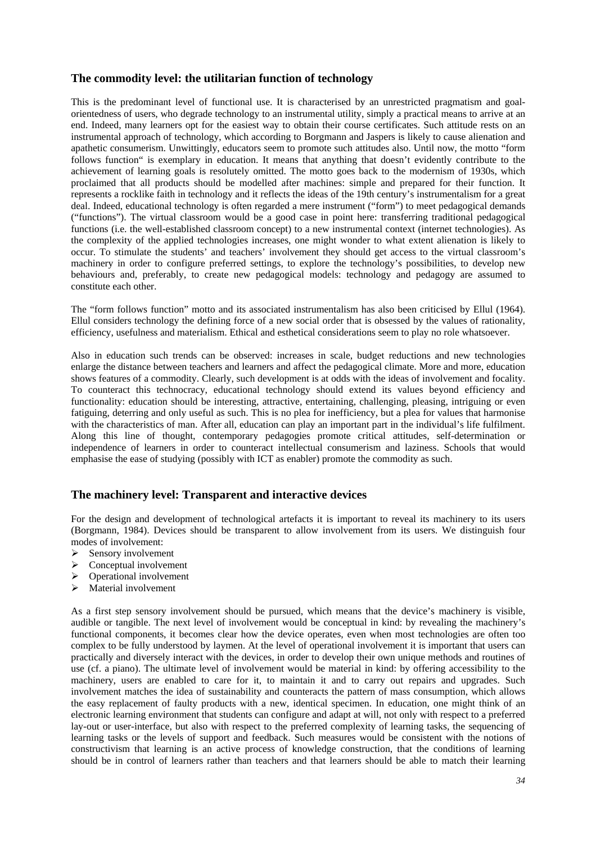# **The commodity level: the utilitarian function of technology**

This is the predominant level of functional use. It is characterised by an unrestricted pragmatism and goalorientedness of users, who degrade technology to an instrumental utility, simply a practical means to arrive at an end. Indeed, many learners opt for the easiest way to obtain their course certificates. Such attitude rests on an instrumental approach of technology, which according to Borgmann and Jaspers is likely to cause alienation and apathetic consumerism. Unwittingly, educators seem to promote such attitudes also. Until now, the motto "form follows function" is exemplary in education. It means that anything that doesn't evidently contribute to the achievement of learning goals is resolutely omitted. The motto goes back to the modernism of 1930s, which proclaimed that all products should be modelled after machines: simple and prepared for their function. It represents a rocklike faith in technology and it reflects the ideas of the 19th century's instrumentalism for a great deal. Indeed, educational technology is often regarded a mere instrument ("form") to meet pedagogical demands ("functions"). The virtual classroom would be a good case in point here: transferring traditional pedagogical functions (i.e. the well-established classroom concept) to a new instrumental context (internet technologies). As the complexity of the applied technologies increases, one might wonder to what extent alienation is likely to occur. To stimulate the students' and teachers' involvement they should get access to the virtual classroom's machinery in order to configure preferred settings, to explore the technology's possibilities, to develop new behaviours and, preferably, to create new pedagogical models: technology and pedagogy are assumed to constitute each other.

The "form follows function" motto and its associated instrumentalism has also been criticised by Ellul (1964). Ellul considers technology the defining force of a new social order that is obsessed by the values of rationality, efficiency, usefulness and materialism. Ethical and esthetical considerations seem to play no role whatsoever.

Also in education such trends can be observed: increases in scale, budget reductions and new technologies enlarge the distance between teachers and learners and affect the pedagogical climate. More and more, education shows features of a commodity. Clearly, such development is at odds with the ideas of involvement and focality. To counteract this technocracy, educational technology should extend its values beyond efficiency and functionality: education should be interesting, attractive, entertaining, challenging, pleasing, intriguing or even fatiguing, deterring and only useful as such. This is no plea for inefficiency, but a plea for values that harmonise with the characteristics of man. After all, education can play an important part in the individual's life fulfilment. Along this line of thought, contemporary pedagogies promote critical attitudes, self-determination or independence of learners in order to counteract intellectual consumerism and laziness. Schools that would emphasise the ease of studying (possibly with ICT as enabler) promote the commodity as such.

### **The machinery level: Transparent and interactive devices**

For the design and development of technological artefacts it is important to reveal its machinery to its users (Borgmann, 1984). Devices should be transparent to allow involvement from its users. We distinguish four modes of involvement:

- $\triangleright$  Sensory involvement
- $\triangleright$  Conceptual involvement
- $\triangleright$  Operational involvement
- $\triangleright$  Material involvement

As a first step sensory involvement should be pursued, which means that the device's machinery is visible, audible or tangible. The next level of involvement would be conceptual in kind: by revealing the machinery's functional components, it becomes clear how the device operates, even when most technologies are often too complex to be fully understood by laymen. At the level of operational involvement it is important that users can practically and diversely interact with the devices, in order to develop their own unique methods and routines of use (cf. a piano). The ultimate level of involvement would be material in kind: by offering accessibility to the machinery, users are enabled to care for it, to maintain it and to carry out repairs and upgrades. Such involvement matches the idea of sustainability and counteracts the pattern of mass consumption, which allows the easy replacement of faulty products with a new, identical specimen. In education, one might think of an electronic learning environment that students can configure and adapt at will, not only with respect to a preferred lay-out or user-interface, but also with respect to the preferred complexity of learning tasks, the sequencing of learning tasks or the levels of support and feedback. Such measures would be consistent with the notions of constructivism that learning is an active process of knowledge construction, that the conditions of learning should be in control of learners rather than teachers and that learners should be able to match their learning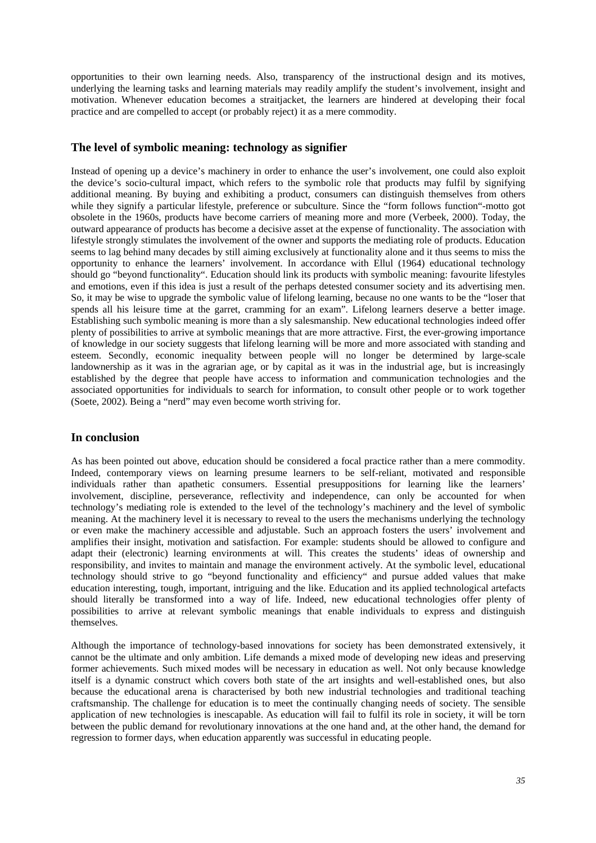opportunities to their own learning needs. Also, transparency of the instructional design and its motives, underlying the learning tasks and learning materials may readily amplify the student's involvement, insight and motivation. Whenever education becomes a straitjacket, the learners are hindered at developing their focal practice and are compelled to accept (or probably reject) it as a mere commodity.

### **The level of symbolic meaning: technology as signifier**

Instead of opening up a device's machinery in order to enhance the user's involvement, one could also exploit the device's socio-cultural impact, which refers to the symbolic role that products may fulfil by signifying additional meaning. By buying and exhibiting a product, consumers can distinguish themselves from others while they signify a particular lifestyle, preference or subculture. Since the "form follows function"-motto got obsolete in the 1960s, products have become carriers of meaning more and more (Verbeek, 2000). Today, the outward appearance of products has become a decisive asset at the expense of functionality. The association with lifestyle strongly stimulates the involvement of the owner and supports the mediating role of products. Education seems to lag behind many decades by still aiming exclusively at functionality alone and it thus seems to miss the opportunity to enhance the learners' involvement. In accordance with Ellul (1964) educational technology should go "beyond functionality". Education should link its products with symbolic meaning: favourite lifestyles and emotions, even if this idea is just a result of the perhaps detested consumer society and its advertising men. So, it may be wise to upgrade the symbolic value of lifelong learning, because no one wants to be the "loser that spends all his leisure time at the garret, cramming for an exam". Lifelong learners deserve a better image. Establishing such symbolic meaning is more than a sly salesmanship. New educational technologies indeed offer plenty of possibilities to arrive at symbolic meanings that are more attractive. First, the ever-growing importance of knowledge in our society suggests that lifelong learning will be more and more associated with standing and esteem. Secondly, economic inequality between people will no longer be determined by large-scale landownership as it was in the agrarian age, or by capital as it was in the industrial age, but is increasingly established by the degree that people have access to information and communication technologies and the associated opportunities for individuals to search for information, to consult other people or to work together (Soete, 2002). Being a "nerd" may even become worth striving for.

### **In conclusion**

As has been pointed out above, education should be considered a focal practice rather than a mere commodity. Indeed, contemporary views on learning presume learners to be self-reliant, motivated and responsible individuals rather than apathetic consumers. Essential presuppositions for learning like the learners' involvement, discipline, perseverance, reflectivity and independence, can only be accounted for when technology's mediating role is extended to the level of the technology's machinery and the level of symbolic meaning. At the machinery level it is necessary to reveal to the users the mechanisms underlying the technology or even make the machinery accessible and adjustable. Such an approach fosters the users' involvement and amplifies their insight, motivation and satisfaction. For example: students should be allowed to configure and adapt their (electronic) learning environments at will. This creates the students' ideas of ownership and responsibility, and invites to maintain and manage the environment actively. At the symbolic level, educational technology should strive to go "beyond functionality and efficiency" and pursue added values that make education interesting, tough, important, intriguing and the like. Education and its applied technological artefacts should literally be transformed into a way of life. Indeed, new educational technologies offer plenty of possibilities to arrive at relevant symbolic meanings that enable individuals to express and distinguish themselves.

Although the importance of technology-based innovations for society has been demonstrated extensively, it cannot be the ultimate and only ambition. Life demands a mixed mode of developing new ideas and preserving former achievements. Such mixed modes will be necessary in education as well. Not only because knowledge itself is a dynamic construct which covers both state of the art insights and well-established ones, but also because the educational arena is characterised by both new industrial technologies and traditional teaching craftsmanship. The challenge for education is to meet the continually changing needs of society. The sensible application of new technologies is inescapable. As education will fail to fulfil its role in society, it will be torn between the public demand for revolutionary innovations at the one hand and, at the other hand, the demand for regression to former days, when education apparently was successful in educating people.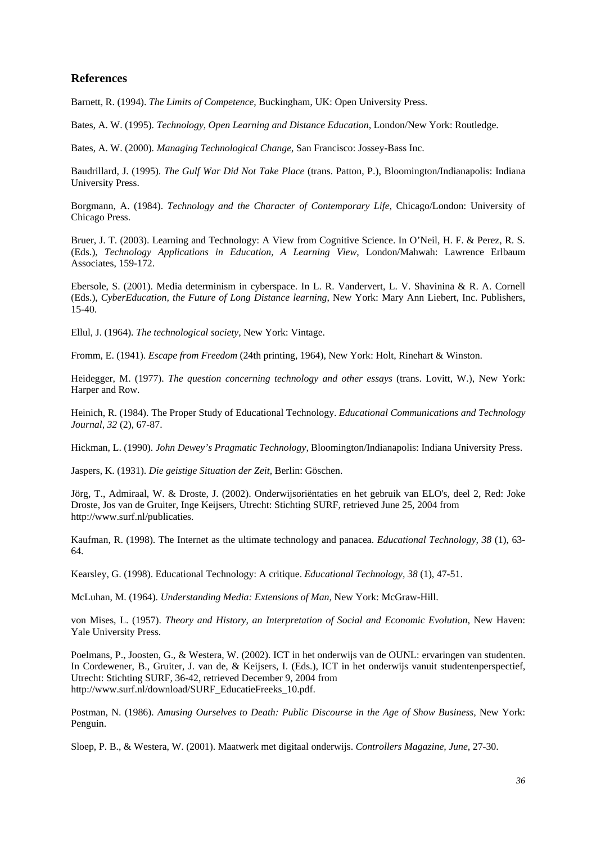### **References**

Barnett, R. (1994). *The Limits of Competence*, Buckingham, UK: Open University Press.

Bates, A. W. (1995). *Technology, Open Learning and Distance Education*, London/New York: Routledge.

Bates, A. W. (2000). *Managing Technological Change*, San Francisco: Jossey-Bass Inc.

Baudrillard, J. (1995). *The Gulf War Did Not Take Place* (trans. Patton, P.), Bloomington/Indianapolis: Indiana University Press.

Borgmann, A. (1984). *Technology and the Character of Contemporary Life*, Chicago/London: University of Chicago Press.

Bruer, J. T. (2003). Learning and Technology: A View from Cognitive Science. In O'Neil, H. F. & Perez, R. S. (Eds.), *Technology Applications in Education, A Learning View*, London/Mahwah: Lawrence Erlbaum Associates, 159-172.

Ebersole, S. (2001). Media determinism in cyberspace. In L. R. Vandervert, L. V. Shavinina & R. A. Cornell (Eds.), *CyberEducation, the Future of Long Distance learning*, New York: Mary Ann Liebert, Inc. Publishers, 15-40.

Ellul, J. (1964). *The technological society,* New York: Vintage.

Fromm, E. (1941). *Escape from Freedom* (24th printing, 1964), New York: Holt, Rinehart & Winston.

Heidegger, M. (1977). *The question concerning technology and other essays* (trans. Lovitt, W.), New York: Harper and Row.

Heinich, R. (1984). The Proper Study of Educational Technology. *Educational Communications and Technology Journal, 32* (2), 67-87.

Hickman, L. (1990). *John Dewey's Pragmatic Technology,* Bloomington/Indianapolis: Indiana University Press.

Jaspers, K. (1931). *Die geistige Situation der Zeit,* Berlin: Göschen.

Jörg, T., Admiraal, W. & Droste, J. (2002). Onderwijsoriëntaties en het gebruik van ELO's, deel 2, Red: Joke Droste, Jos van de Gruiter, Inge Keijsers, Utrecht: Stichting SURF, retrieved June 25, 2004 from http://www.surf.nl/publicaties.

Kaufman, R. (1998). The Internet as the ultimate technology and panacea. *Educational Technology, 38* (1), 63- 64.

Kearsley, G. (1998). Educational Technology: A critique. *Educational Technology, 38* (1), 47-51.

McLuhan, M. (1964). *Understanding Media: Extensions of Man,* New York: McGraw-Hill.

von Mises, L. (1957). *Theory and History, an Interpretation of Social and Economic Evolution,* New Haven: Yale University Press.

Poelmans, P., Joosten, G., & Westera, W. (2002). ICT in het onderwijs van de OUNL: ervaringen van studenten. In Cordewener, B., Gruiter, J. van de, & Keijsers, I. (Eds.), ICT in het onderwijs vanuit studentenperspectief, Utrecht: Stichting SURF, 36-42, retrieved December 9, 2004 from http://www.surf.nl/download/SURF\_EducatieFreeks\_10.pdf.

Postman, N. (1986). *Amusing Ourselves to Death: Public Discourse in the Age of Show Business,* New York: Penguin.

Sloep, P. B., & Westera, W. (2001). Maatwerk met digitaal onderwijs. *Controllers Magazine, June*, 27-30.